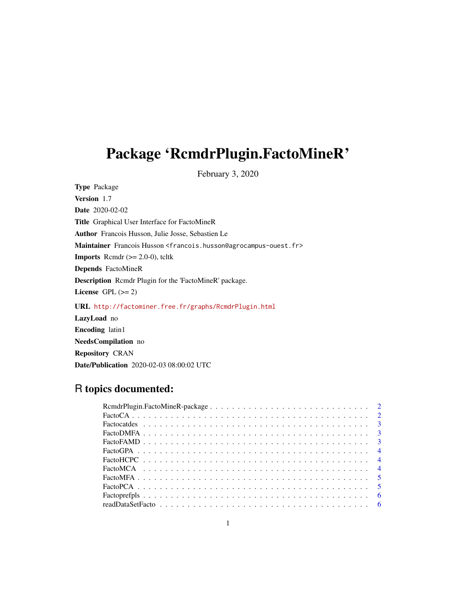# Package 'RcmdrPlugin.FactoMineR'

February 3, 2020

Type Package Version 1.7 Date 2020-02-02 Title Graphical User Interface for FactoMineR Author Francois Husson, Julie Josse, Sebastien Le Maintainer Francois Husson <francois.husson@agrocampus-ouest.fr> **Imports** Rcmdr  $(>= 2.0-0)$ , tcltk Depends FactoMineR Description Rcmdr Plugin for the 'FactoMineR' package. License GPL  $(>= 2)$ URL <http://factominer.free.fr/graphs/RcmdrPlugin.html> LazyLoad no Encoding latin1 NeedsCompilation no Repository CRAN

# R topics documented:

Date/Publication 2020-02-03 08:00:02 UTC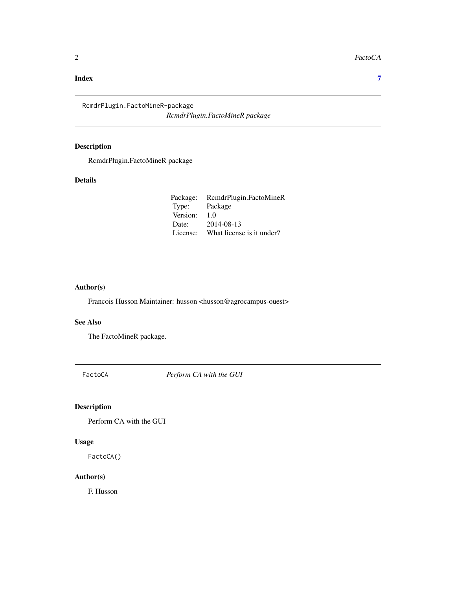#### <span id="page-1-0"></span>**Index** [7](#page-6-0) **7**

RcmdrPlugin.FactoMineR-package *RcmdrPlugin.FactoMineR package*

# Description

RcmdrPlugin.FactoMineR package

# Details

| Package: | RcmdrPlugin.FactoMineR    |
|----------|---------------------------|
| Type:    | Package                   |
| Version: | 1.0                       |
| Date:    | 2014-08-13                |
| License: | What license is it under? |

#### Author(s)

Francois Husson Maintainer: husson <husson@agrocampus-ouest>

#### See Also

The FactoMineR package.

FactoCA *Perform CA with the GUI*

# Description

Perform CA with the GUI

#### Usage

FactoCA()

#### Author(s)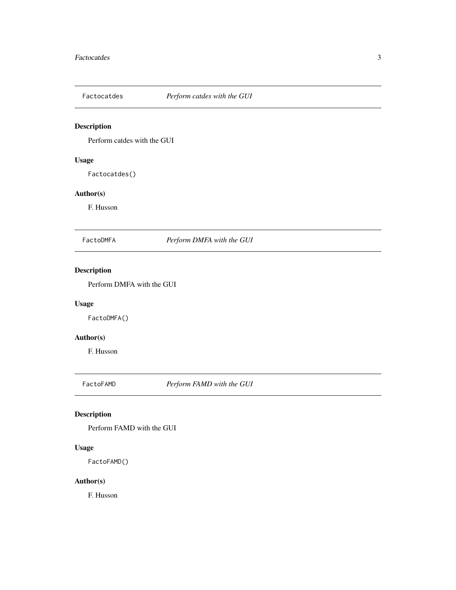<span id="page-2-0"></span>

Perform catdes with the GUI

# Usage

Factocatdes()

#### Author(s)

F. Husson

FactoDMFA *Perform DMFA with the GUI*

# Description

Perform DMFA with the GUI

# Usage

FactoDMFA()

# Author(s)

F. Husson

FactoFAMD *Perform FAMD with the GUI*

# Description

Perform FAMD with the GUI

#### Usage

FactoFAMD()

#### Author(s)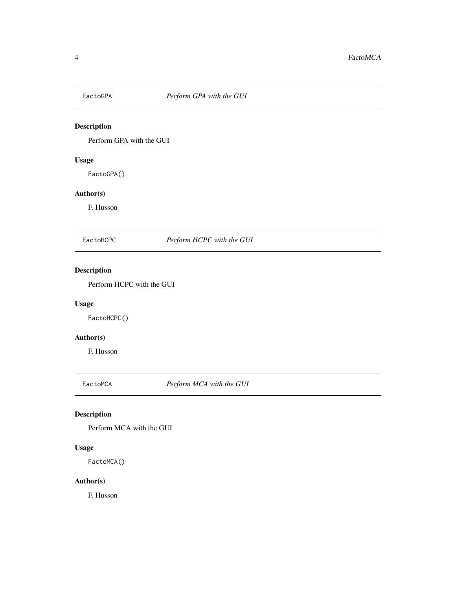<span id="page-3-0"></span>

Perform GPA with the GUI

# Usage

FactoGPA()

# Author(s)

F. Husson

FactoHCPC *Perform HCPC with the GUI*

# Description

Perform HCPC with the GUI

# Usage

FactoHCPC()

# Author(s)

F. Husson

FactoMCA *Perform MCA with the GUI*

# Description

Perform MCA with the GUI

#### Usage

FactoMCA()

#### Author(s)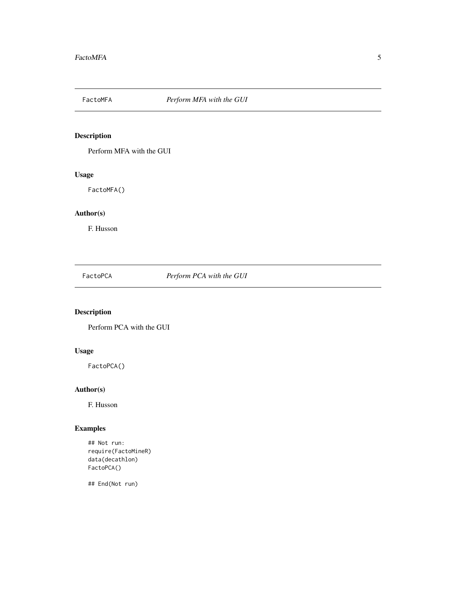<span id="page-4-0"></span>

Perform MFA with the GUI

# Usage

FactoMFA()

# Author(s)

F. Husson

FactoPCA *Perform PCA with the GUI*

# Description

Perform PCA with the GUI

#### Usage

FactoPCA()

# Author(s)

F. Husson

# Examples

## Not run: require(FactoMineR) data(decathlon) FactoPCA()

## End(Not run)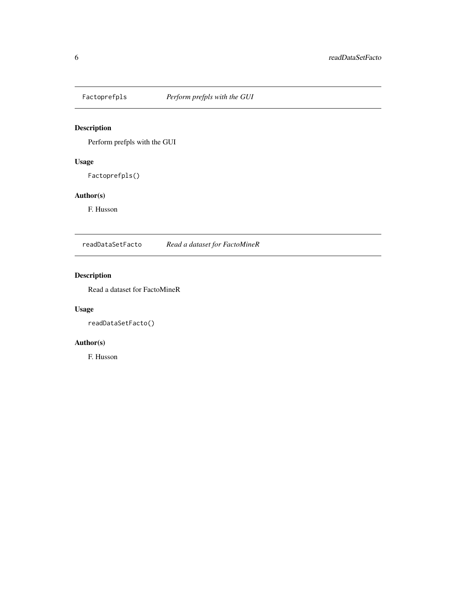<span id="page-5-0"></span>

Perform prefpls with the GUI

#### Usage

Factoprefpls()

#### Author(s)

F. Husson

readDataSetFacto *Read a dataset for FactoMineR*

# Description

Read a dataset for FactoMineR

#### Usage

readDataSetFacto()

#### Author(s)